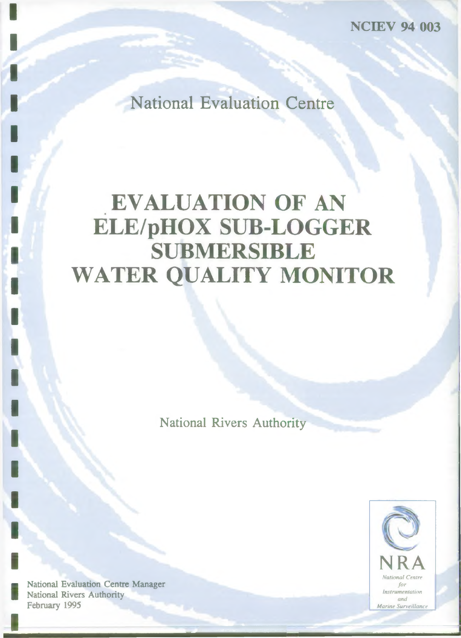**NCffiV 94 003**

National Evaluation Centre

# **EVALUATION OF AN ELE/pHOX SUB-LOGGER SUBMERSIBLE WATER QUALITY MONITOR**

**National Rivers Authority**



National Evaluation Centre Manager National Rivers Authority February 1995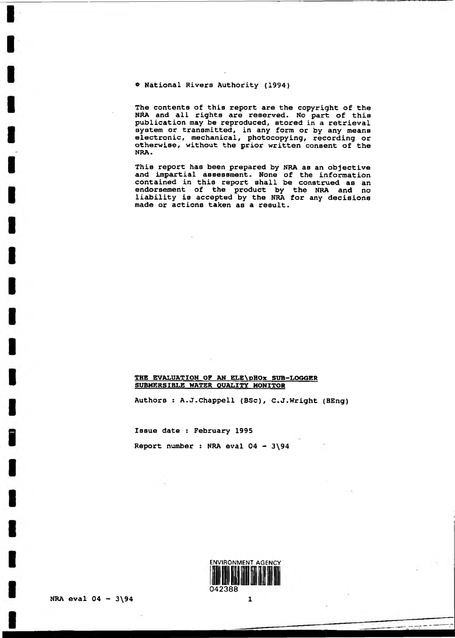#### © National Rivers Authority (1994)

The contents of this report are the copyright of the NRA and all rights are reserved. No part of this publication may be reproduced, stored in a retrieval system or transmitted, in any form or by any means electronic, mechanical, photocopying, recording or otherwise, without the prior written consent of the NRA.

This report has been prepared by NRA as an objective and impartial assessment. None of the information contained in this report shall be construed as an endorsement of the product by the NRA and no liability is accepted by the NRA for any decisions made or actions taken as a result.

# THE EVALUATION OF AN ELE\ pHOx SUB-LOGGER SUBMERSIBLE WATER QUALITY MONITOR

Authors : A.J.Chappell (BSc), C. J.Wright (BEng)

Issue date : February 1995

Report number : NRA eval  $04 - 3$ )94

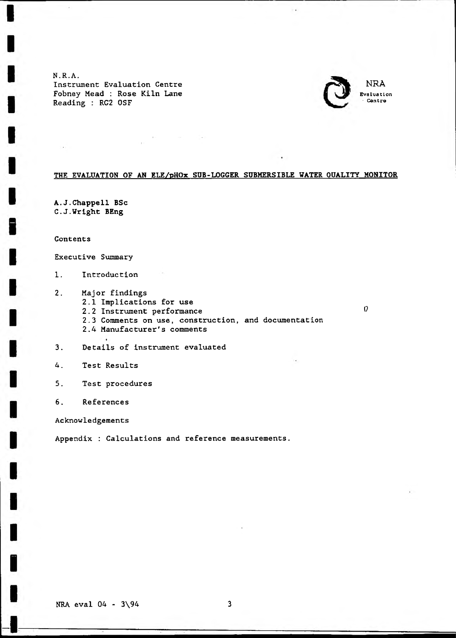N.R.A. Instrument Evaluation Centre Fobney Mead : Rose Kiln Lane Reading : RG2 OSF



# THE EVALUATION OF AN ELE/pHOx SUB-LOGGER SUBMERSIBLE WATER QUALITY MONITOR

 $\label{eq:1.1} \mathbb{E}[\mathbf{u}^{\top}]=\mathbb{E}[\mathbf{u}^{\top}(\mathbf{u})]=\mathbb{E}[\mathbf{u}^{\top}(\mathbf{u})]=\mathbb{E}[\mathbf{u}^{\top}(\mathbf{u})]$ 

A.J.Chappell BSc C.J.Wright BEng

Contents

 $\sim$ 

Executive Summary

- 1. Introduction
- 2. Major findings
	- 2.1 Implications for use

 $\sim 100$ 

- 2.2 Instrument performance  $\theta$
- 2.3 Comments on use, construction, and documentation
- 2.4 Manufacturer's comments
- 3. Details of instrument evaluated
- 4. Test Results
- 5. Test procedures
- 6. References

Acknowledgements

Appendix : Calculations and reference measurements.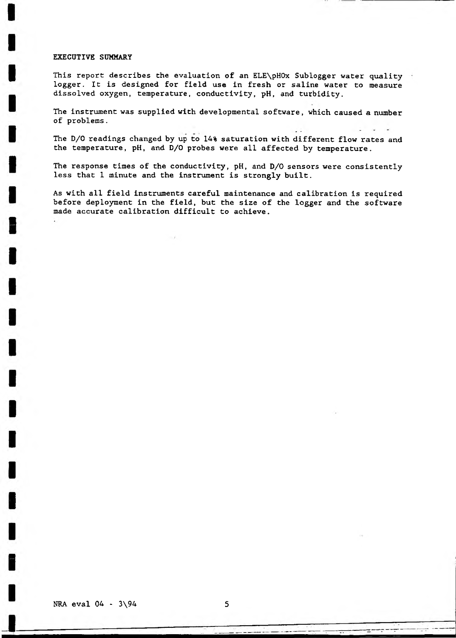## EXECUTIVE SUMMARY

This report describes the evaluation of an ELE\pHOx Sublogger water quality logger. It is designed for field use in fresh or saline water to measure dissolved oxygen, temperature, conductivity, pH, and turbidity.

The instrument was supplied with developmental software, which caused a number of problems.

The D/0 readings changed by up to 14% saturation with different flow rates and the temperature, pH, and D/0 probes were all affected by temperature.

5.0

The response times of the conductivity, pH, and D/0 sensors were consistently less that 1 minute and the instrument is strongly built.

As with all field instruments careful maintenance and calibration is required before deployment in the field, but the size of the logger and the software made accurate calibration difficult to achieve.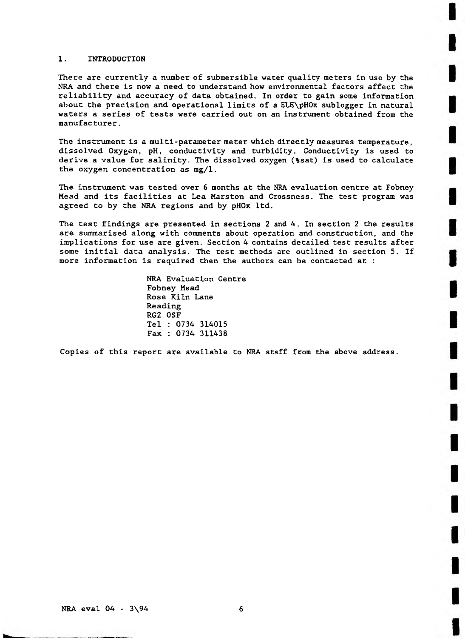# 1. INTRODUCTION

There are currently a number of submersible water quality meters in use by the NRA and there is now a need to understand how environmental factors affect the reliability and accuracy of data obtained. In order to gain some information about the precision and operational limits of a ELE\pHOx sublogger in natural waters a series of tests were carried out on an instrument obtained from the manufacturer.

The instrument is a multi-parameter meter which directly measures temperature, dissolved Oxygen, pH, conductivity and turbidity. Conductivity is used to derive a value for salinity. The dissolved oxygen (%sat) is used to calculate the oxygen concentration as mg/1.

The instrument was tested over 6 months at the NRA evaluation centre at Fobney Mead and its facilities at Lea Marston and Crossness. The test program was agreed to by the NRA regions and by pHOx ltd.

The test findings are presented in sections 2 and 4. In section 2 the results are summarised along with comments about operation and construction, and the implications for use are given. Section 4 contains detailed test results after some initial data analysis. The test methods are outlined in section 5. If more information is required then the authors can be contacted at :

> NRA Evaluation Centre Fobney Mead Rose Kiln Lane Reading RG2 OSF Tel : 0734 314015 Fax : 0734 311438

Copies of this report are available to NRA staff from the above address.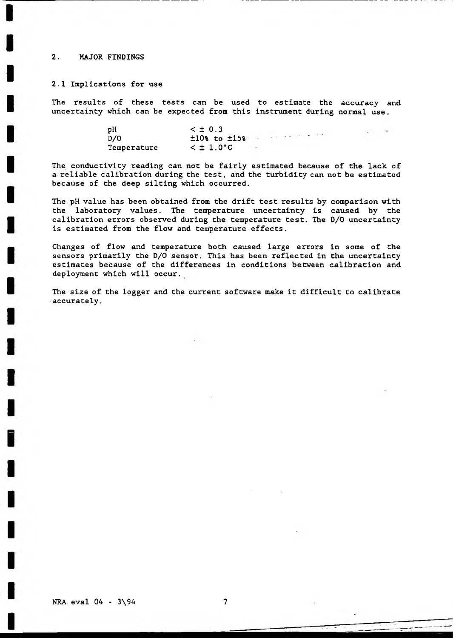# 2. MAJOR FINDINGS

# 2.1 Implications for use

The results of these tests can be used to estimate the accuracy and uncertainty which can be expected from this instrument during normal use.

| рH          | $2 \pm 0.3$                                           |  |  |  |  |
|-------------|-------------------------------------------------------|--|--|--|--|
| D/O         | $\pm 10$ % to $\pm 15$ % in the second state $\pm 10$ |  |  |  |  |
| Temperature | $<$ $\pm$ 1.0°C $<$                                   |  |  |  |  |

The conductivity reading can not be fairly estimated because of the lack of a reliable calibration during the test, and the turbidity can not be estimated because of the deep silting which occurred.

The pH value has been obtained from the drift test results by comparison with the laboratory values. The temperature uncertainty is caused by the calibration errors observed during the temperature test. The D/0 uncertainty is estimated from the flow and temperature effects.

Changes of flow and temperature both caused large errors in some of the sensors primarily the D/0 sensor. This has been reflected in the uncertainty estimates because of the differences in conditions between calibration and deployment which will occur.

The size of the logger and the current software make it difficult to calibrate accurately.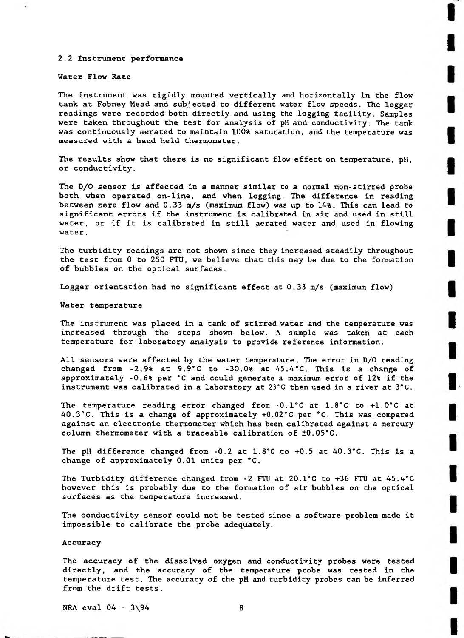# 2.2 Instrument performance

# Water Flow Rate

The instrument was rigidly mounted vertically and horizontally in the flow tank at Fobney Mead and subjected to different water flow speeds. The logger readings were recorded both directly and using the logging facility. Samples were taken throughout the test for analysis of pH and conductivity. The tank was continuously aerated to maintain 100% saturation, and the temperature was measured with a hand held thermometer.

The results show that there is no significant flow effect on temperature, pH, or conductivity.

The D/0 sensor is affected in a manner similar to a normal non-stirred probe both when operated on-line, and when logging. The difference in reading between zero flow and 0.33 m/s (maximum flow) was up to 14%. This can lead to significant errors if the instrument is calibrated in air and used in still water, or if it is calibrated in still aerated water and used in flowing water.

The turbidity readings are not shown since they increased steadily throughout the test from 0 to 250 FTU, we believe that this may be due to the formation of bubbles on the optical surfaces.

Logger orientation had no significant effect at 0.33 m/s (maximum flow)

### Water temperature

The instrument was placed in a tank of stirred water and the temperature was increased through the steps shown below. A sample was taken at each temperature for laboratory analysis to provide reference information.

All sensors were affected by the water temperature. The error in D/0 reading changed from -2.9% at 9.9°C to -30.0% at 45.4°C. This is a change of approximately -0.6% per °C and could generate a maximum error of 12% if the instrument was calibrated in a laboratory at 23\*C then used in a river at 3\*C.

The temperature reading error changed from  $-0.1^{\circ}$ C at  $1.8^{\circ}$ C to  $+1.0^{\circ}$ C at 40.3\*0. This is a change of approximately +0.02\*C per \*C. This was compared against an electronic thermometer which has been calibrated against a mercury column thermometer with a traceable calibration of ±0.05\*C.

The pH difference changed from  $-0.2$  at  $1.8^{\circ}$ C to  $+0.5$  at  $40.3^{\circ}$ C. This is a change of approximately 0.01 units per °C.

The Turbidity difference changed from  $-2$  FTU at 20.1°C to  $+36$  FTU at 45.4°C however this is probably due to the formation of air bubbles on the optical surfaces as the temperature increased.

The conductivity sensor could not be tested since a software problem made it impossible to calibrate the probe adequately.

# Accuracy

The accuracy of the dissolved oxygen and conductivity probes were tested directly, and the accuracy of the temperature probe was tested in the temperature test. The accuracy of the pH and turbidity probes can be inferred from the drift tests.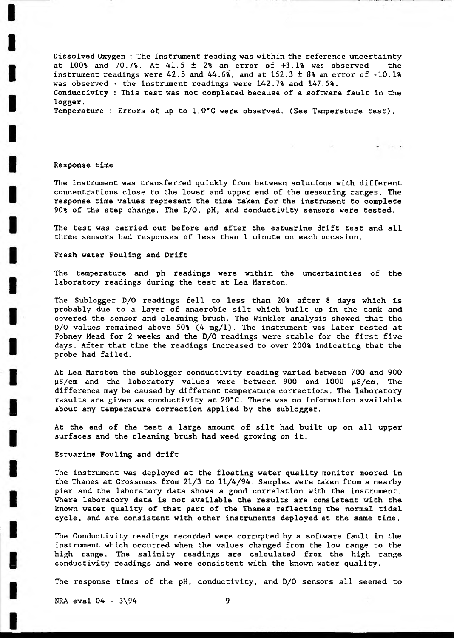Dissolved Oxygen : The Instrument reading was within the reference uncertainty at  $100\$  and  $70.7\$ . At  $41.5 \pm 2\$  an error of  $+3.1\$  was observed - the instrument readings were 42.5 and 44.6%, and at  $152.3 \pm 8$ % an error of  $-10.18$ was observed - the instrument readings were 142.7% and 147.5%.

Conductivity : This test was not completed because of a software fault in the logger.

Temperature : Errors of up to 1.0°C were observed. (See Temperature test).

### Response time

The instrument was transferred quickly from between solutions with different concentrations close to the lower and upper end of the measuring ranges. The response time values represent the time taken for the instrument to complete 90% of the step change. The D/0, pH, and conductivity sensors were tested.

The test was carried out before and after the estuarine drift test and all three sensors had responses of less than 1 minute on each occasion.

# Fresh water Fouling and Drift

The temperature and ph readings were within the uncertainties of the laboratory readings during the test at Lea Marston.

The Sublogger D/O readings fell to less than 20% after 8 days which is probably due to a layer of anaerobic silt which built up in the tank and covered the sensor and cleaning brush. The Winkler analysis showed that the D/0 values remained above 50% (4 mg/1). The instrument was later tested at Fobney Mead for 2 weeks and the D/0 readings were stable for the first five days. After that time the readings increased to over 200% indicating that the probe had failed.

At Lea Marston the sublogger conductivity reading varied between 700 and 900 |iS/cm and the laboratory values were between 900 and 1000 pS/cm. The difference may be caused by different temperature corrections. The laboratory results are given as conductivity at 20°C. There was no information available about any temperature correction applied by the sublogger.

At the end of the test a large amount of silt had built up on all upper surfaces and the cleaning brush had weed growing on it.

#### Estuarine Fouling and drift

The instrument was deployed at the floating water quality monitor moored in the Thames at Crossness from 21/3 to 11/4/94. Samples were taken from a nearby pier and the laboratory data shows a good correlation with the instrument. Where laboratory data is not available the results are consistent with the known water quality of that part of the Thames reflecting the normal tidal cycle, and are consistent with other instruments deployed at the same time.

The Conductivity readings recorded were corrupted by a software fault in the instrument which occurred when the values changed from the low range to the high range. The salinity readings are calculated from the high range conductivity readings and were consistent with the known water quality.

The response times of the pH, conductivity, and D/0 sensors all seemed to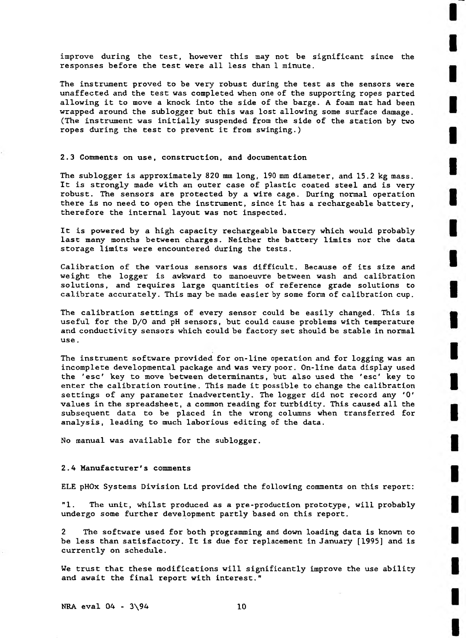improve during the test, however this may not be significant since the responses before the test were all less than 1 minute.

The instrument proved to be very robust during the test as the sensors were unaffected and the test was completed when one of the supporting ropes parted allowing it to move a knock into the side of the barge. A foam mat had been wrapped around the sublogger but this was lost allowing some surface damage. (The instrument was initially suspended from the side of the station by two ropes during the test to prevent it from swinging.)

## 2.3 Comments on use, construction, and documentation

The sublogger is approximately 820 mm long, 190 mm diameter, and 15.2 kg mass. It is strongly made with an outer case of plastic coated steel and is very robust. The sensors are protected by a wire cage. During normal operation there is no need to open the instrument, since it has a rechargeable battery, therefore the internal layout was not inspected.

It is powered by a high capacity rechargeable battery which would probably last many months between charges. Neither the battery limits nor the data storage limits were encountered during the tests.

Calibration of the various sensors was difficult. Because of its size and weight the logger is awkward to manoeuvre between wash and calibration solutions, and requires large quantities of reference grade solutions to calibrate accurately. This may be made easier by some form of calibration cup.

The calibration settings of every sensor could be easily changed. This is useful for the D/O and pH sensors, but could cause problems with temperature and conductivity sensors which could be factory set should be stable in normal use.

The instrument software provided for on-line operation and for logging was an incomplete developmental package and was very poor. On-line data display used the 'esc' key to move between determinants, but also used the 'esc' key to enter the calibration routine. This made it possible to change the calibration settings of any parameter inadvertently. The logger did not record any '0' values in the spreadsheet, a common reading for turbidity. This caused all the subsequent data to be placed in the wrong columns when transferred for analysis, leading to much laborious editing of the data.

No manual was available for the sublogger.

# 2.4 Manufacturer's comments

ELE pHOx Systems Division Ltd provided the following comments on this report:

"1. The unit, whilst produced as a pre-production prototype, will probably undergo some further development partly based on this report.

2 The software used for both programming and down loading data is known to be less than satisfactory. It is due for replacement in January [1995] and is currently on schedule.

We trust that these modifications will significantly improve the use ability and await the final report with interest."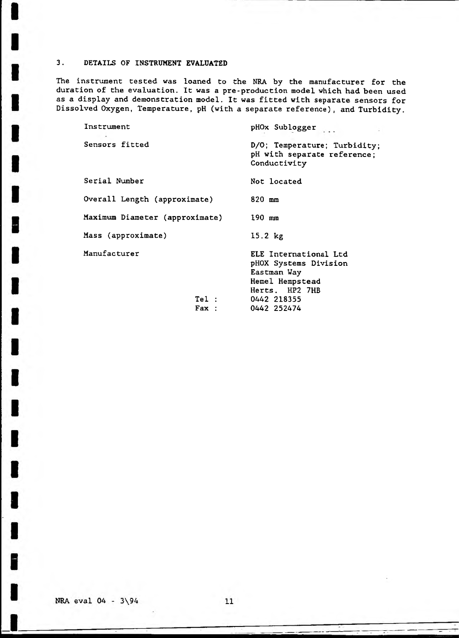# 3. DETAILS OF INSTRUMENT EVALUATED

I

F

The instrument tested was loaned to the NRA by the manufacturer for the duration of the evaluation. It was a pre-production model which had been used as a display and demonstration model. It was fitted with separate sensors for Dissolved Oxygen, Temperature, pH (with a separate reference), and Turbidity.

| Instrument                     |                          | pHOx Sublogger                                                                                                                   |  |
|--------------------------------|--------------------------|----------------------------------------------------------------------------------------------------------------------------------|--|
| Sensors fitted                 |                          | D/O; Temperature; Turbidity;<br>pH with separate reference;<br>Conductivity                                                      |  |
| Serial Number                  |                          | Not located                                                                                                                      |  |
| Overall Length (approximate)   |                          | $820$ mm                                                                                                                         |  |
| Maximum Diameter (approximate) |                          | $190$ mm                                                                                                                         |  |
| Mass (approximate)             |                          | $15.2$ $kg$                                                                                                                      |  |
| Manufacturer                   | Tel:<br>$\textbf{Fax}$ : | ELE International Ltd<br>pHOX Systems Division<br>Eastman Way<br>Hemel Hempstead<br>Herts. HP2 7HB<br>0442 218355<br>0442 252474 |  |

NRA eval  $04 - 3\sqrt{94}$ 

 $11$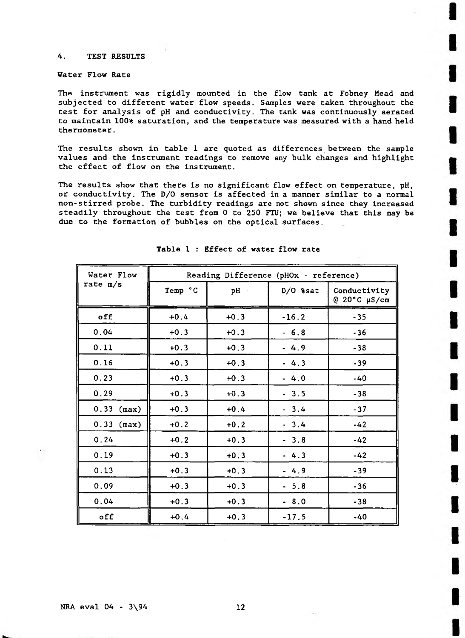# 4. TEST RESULTS

# Water Flow Rate

The instrument was rigidly mounted in the flow tank at Fobney Mead and subjected to different water flow speeds. Samples were taken throughout the test for analysis of pH and conductivity. The tank was continuously aerated to maintain 100% saturation, and the temperature was measured with a hand held thermometer.

The results shown in table 1 are quoted as differences between the sample values and the instrument readings to remove any bulk changes and highlight the effect of flow on the instrument.

The results show that there is no significant flow effect on temperature, pH, or conductivity. The D/0 sensor is affected in a manner similar to a normal non-stirred probe. The turbidity readings are not shown since they increased steadily throughout the test from 0 to 250 FTU; we believe that this may be due to the formation of bubbles on the optical surfaces.

| Water Flow   | Reading Difference (pHOx - reference) |        |             |                              |  |  |
|--------------|---------------------------------------|--------|-------------|------------------------------|--|--|
| rate m/s     | Temp °C                               | pH +   | $D/O$ \$sat | Conductivity<br>@ 20°C µS/cm |  |  |
| off          | $+0.4$                                | $+0.3$ | $-16.2$     | $-35$                        |  |  |
| 0.04         | $+0.3$                                | $+0.3$ | $-6.8$      | $-36$                        |  |  |
| 0.11         | $+0.3$                                | $+0.3$ | $-4.9$      | $-38$                        |  |  |
| 0.16         | $+0.3$                                | $+0.3$ | $-4.3$      | $-39$                        |  |  |
| 0.23         | $+0.3$                                | $+0.3$ | $-4.0$      | $-40$                        |  |  |
| 0.29         | $+0.3$                                | $+0.3$ | $-3.5$      | $-38$                        |  |  |
| $0.33$ (max) | $+0.3$                                | $+0.4$ | $-3.4$      | $-37$                        |  |  |
| $0.33$ (max) | $+0.2$                                | $+0.2$ | $-3.4$      | $-42$                        |  |  |
| 0.24         | $+0.2$                                | $+0.3$ | $-3.8$      | $-42$                        |  |  |
| 0.19         | $+0.3$                                | $+0.3$ | $-4.3$      | $-42$                        |  |  |
| 0.13         | $+0.3$                                | $+0.3$ | $-4.9$      | $-39$                        |  |  |
| 0.09         | $+0.3$                                | $+0.3$ | $-5.8$      | $-36$                        |  |  |
| 0.04         | $+0.3$                                | $+0.3$ | $-8.0$      | $-38$                        |  |  |
| off          | $+0.4$                                | $+0.3$ | $-17.5$     | $-40$                        |  |  |

## Table 1 : Effect of water flow rate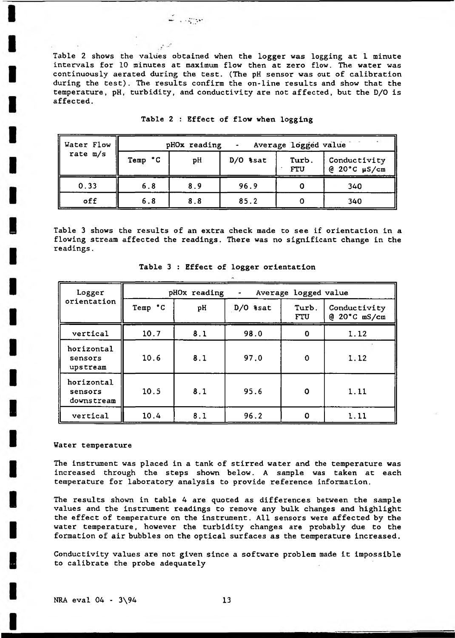Table 2 shows the values obtained when the logger was logging at 1 minute intervals for 10 minutes at maximum flow then at zero flow. The water was continuously aerated during the test. (The pH sensor was out of calibration during the test). The results confirm the on-line results and show that the temperature, pH, turbidity, and conductivity are not affected, but the D/O is affected.

 $\frac{1}{2}$  ,  $\frac{1}{2}$  ,  $\frac{1}{2}$ 

 $\mathcal{L}^{\text{out}}$ 

| Water Flow |         | pHOx reading | $\blacksquare$ | Average logged value |                              |
|------------|---------|--------------|----------------|----------------------|------------------------------|
| rate $m/s$ | Temp °C | pH           | $D/O$ \$sat    | Turb.<br>FTU         | Conductivity<br>@ 20°C µS/cm |
| 0.33       | 6.8     | 8.9          | 96.9           |                      | 340                          |
| off        | 6.8     | 8.8          | 85.2           |                      | 340                          |

|  |  |  |  |  |  |  | Table 2 : Effect of flow when logging |
|--|--|--|--|--|--|--|---------------------------------------|
|--|--|--|--|--|--|--|---------------------------------------|

Table 3 shows the results of an extra check made to see if orientation in a flowing stream affected the readings. There was no significant change in the readings.

| Logger                              |         | pHOx reading | -          | Average logged value |                              |
|-------------------------------------|---------|--------------|------------|----------------------|------------------------------|
| orientation                         | Temp °C | pH           | $D/O$ 8sat | Turb.<br>FTU         | Conductivity<br>@ 20°C mS/cm |
| vertical                            | 10.7    | 8.1          | 98.0       | 0                    | 1.12                         |
| horizontal<br>sensors<br>upstream   | 10.6    | 8.1          | 97.0       | 0                    | 1.12                         |
| horizontal<br>sensors<br>downstream | 10.5    | 8.1          | 95.6       | Ω                    | 1.11                         |
| vertical                            | 10.4    | 8.1          | 96.2       |                      | 1.11                         |

Table 3 : Effect of logger orientation

# Water temperature

The instrument was placed in a tank of stirred water and the temperature was increased through the steps shown below. A sample was taken at each temperature for laboratory analysis to provide reference information.

The results shown in table 4 are quoted as differences between the sample values and the instrument readings to remove any bulk changes and highlight the effect of temperature on the instrument. All sensors were affected by the water temperature, however the turbidity changes are probably due to the formation of air bubbles on the optical surfaces as the temperature increased.

Conductivity values are not given since a software problem made it Impossible to calibrate the probe adequately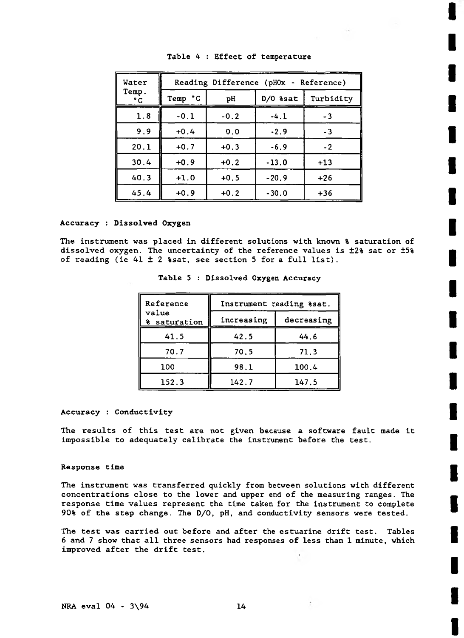| Water       | Reading Difference (pHOx - Reference) |        |            |           |  |  |  |
|-------------|---------------------------------------|--------|------------|-----------|--|--|--|
| Temp.<br>۰c | Temp °C                               | pH     | $D/O$ ssat | Turbidity |  |  |  |
| 1.8         | $-0.1$                                | $-0.2$ | $-4.1$     | $-3$      |  |  |  |
| 9.9         | $+0.4$                                | 0.0    | $-2.9$     | $-3$      |  |  |  |
| 20.1        | $+0.7$                                | $+0.3$ | $-6.9$     | $-2$      |  |  |  |
| 30.4        | $+0.9$                                | $+0.2$ | $-13.0$    | $+13$     |  |  |  |
| 40.3        | $+1.0$                                | $+0.5$ | $-20.9$    | $+26$     |  |  |  |
| 45.4        | $+0.9$                                | $+0.2$ | $-30.0$    | $+36$     |  |  |  |

Table 4 : Effect of temperature

Accuracy : Dissolved Oxygen

The instrument was placed in different solutions with known % saturation of dissolved oxygen. The uncertainty of the reference values is ±2% sat or ±5% of reading (ie 41  $\pm$  2 % sat, see section 5 for a full list).

| Reference           | Instrument reading \$sat. |            |  |  |
|---------------------|---------------------------|------------|--|--|
| value<br>saturation | increasing                | decreasing |  |  |
| 41.5                | 42.5                      | 44.6       |  |  |
| 70.7                | 70.5                      | 71.3       |  |  |
| 100                 | 98.1                      | 100.4      |  |  |
| 152.3               | 142.7                     | 147.5      |  |  |

|  |  |  | Table 5 : Dissolved Oxygen Accuracy |  |  |
|--|--|--|-------------------------------------|--|--|
|--|--|--|-------------------------------------|--|--|

# Accuracy : Conductivity

The results of this test are not given because a software fault made it impossible to adequately calibrate the instrument before the test.

# Response time

The instrument was transferred quickly from between solutions with different concentrations close to the lower and upper end of the measuring ranges. The response time values represent the time taken for the instrument to complete 90% of the step change. The D/0, pH, and conductivity sensors were tested.

The test was carried out before and after the estuarine drift test. Tables 6 and 7 show that all three sensors had responses of less than 1 minute, which improved after the drift test.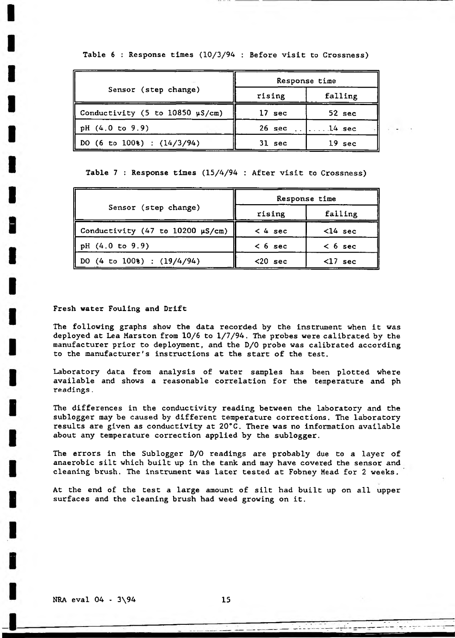|                                               | Response time    |                     |  |
|-----------------------------------------------|------------------|---------------------|--|
| Sensor (step change)                          | rising           | falling             |  |
| Conductivity (5 to 10850 $\mu$ S/cm)          | 17 sec           | 52 sec              |  |
| pH (4.0 to 9.9)                               | $26 \text{ sec}$ | $\ldots$ . $14$ sec |  |
| DO $(6 \text{ to } 100\text{)}$ : $(14/3/94)$ | <b>31 sec</b>    | 19 sec              |  |

Table 6 : Response times (10/3/94 : Before visit to Crossness)

# Table 7 : Response times (15/4/94 : After visit to Crossness)

|                                        | Response time |                  |  |
|----------------------------------------|---------------|------------------|--|
| Sensor (step change)                   | rising        | falling          |  |
| Conductivity (47 to $10200 \mu S/cm$ ) | $< 4$ sec     | $14$ sec         |  |
| pH (4.0 to 9.9)                        | $< 6$ sec     | $< 6$ sec        |  |
| DO (4 to 100%) : (19/4/94)             | $20$ sec      | $\langle$ 17 sec |  |

## Fresh water Fouling and Drift

The following graphs show the data recorded by the instrument when it was deployed at Lea Marston from 10/6 to 1/7/94. The probes were calibrated by the manufacturer prior to deployment, and the D/0 probe was calibrated according to the manufacturer's instructions at the start of the test.

Laboratory data from analysis of water samples has been plotted where available and shows a reasonable correlation for the temperature and ph readings.

The differences in the conductivity reading between the laboratory and the sublogger may be caused by different temperature corrections. The laboratory results are given as conductivity at 20°C. There was no information available about any temperature correction applied by the sublogger.

The errors in the Sublogger D/0 readings are probably due to a layer of anaerobic silt which built up in the tank and may have covered the sensor and cleaning brush. The instrument was later tested at Fobney Mead for 2 weeks.

At the end of the test a large amount of silt had built up on all upper surfaces and the cleaning brush had weed growing on it.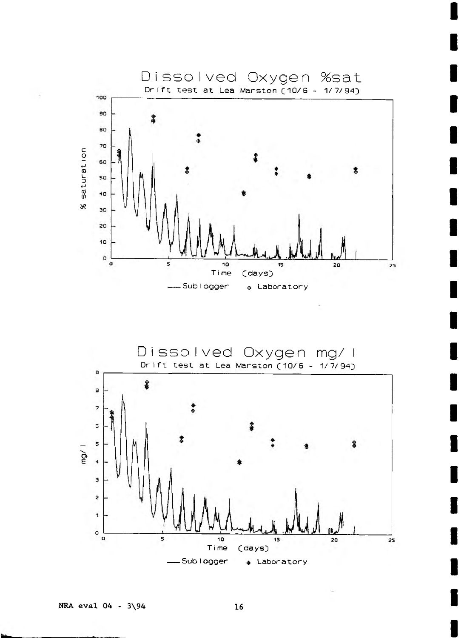

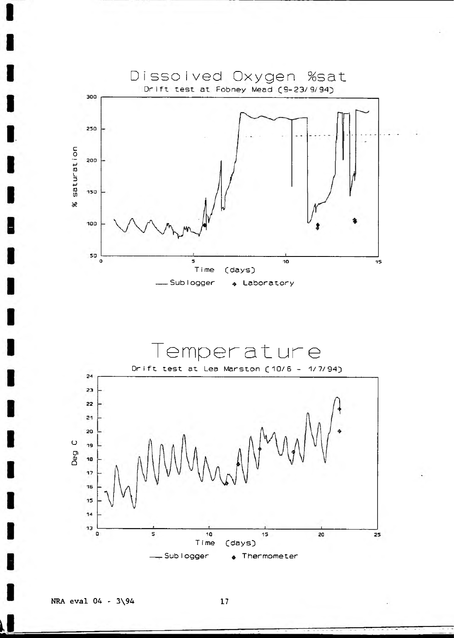

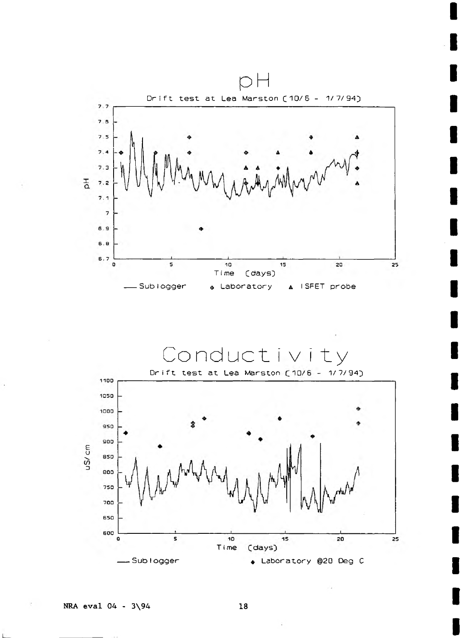



NRA eval 04 - 3\94 18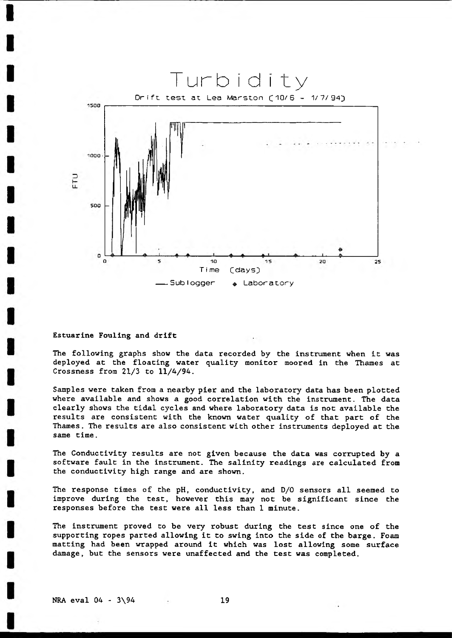

## Estuarine Fouling and drift

The following graphs show the data recorded by the instrument when it was deployed at the floating water quality monitor moored in the Thames at Crossness from 21/3 to 11/4/94.

Samples were taken from a nearby pier and the laboratory data has been plotted where available and shows a good correlation with the instrument. The data clearly shows the tidal cycles and where laboratory data is not available the results are consistent with the known water quality of that part of the Thames. The results are also consistent with other instruments deployed at the same time.

The Conductivity results are not given because the data was corrupted by a software fault in the instrument. The salinity readings are calculated from the conductivity high range and are shown.

The response times of the pH, conductivity, and D/0 sensors all seemed to improve during the test, however this may not be significant since the responses before the test were all less than 1 minute.

The instrument proved to be very robust during the test since one of the supporting ropes parted allowing it to swing into the side of the barge. Foam matting had been wrapped around it which was lost allowing some surface damage, but the sensors were unaffected and the test was completed.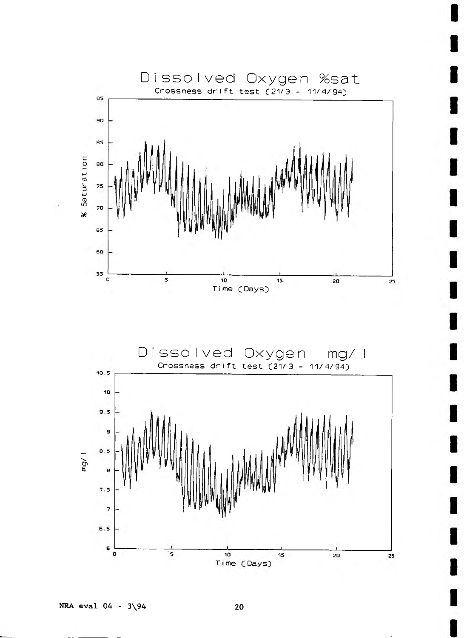

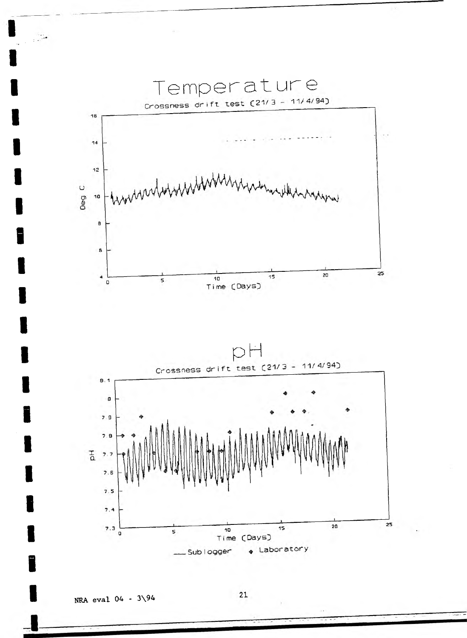

 $\overline{\mathcal{L}}$ 

NRA eval 04 - 3\94

i

 $\bf 21$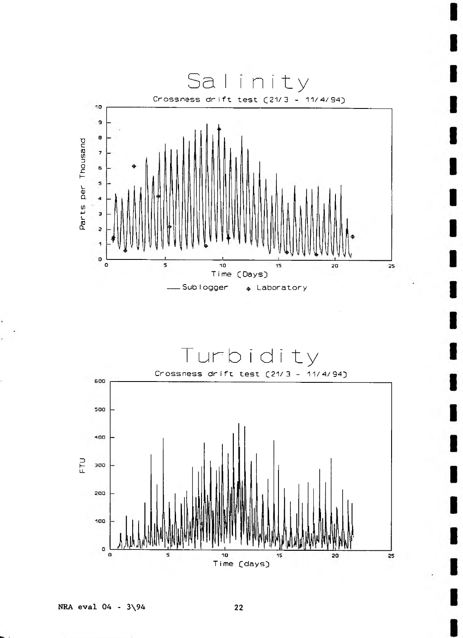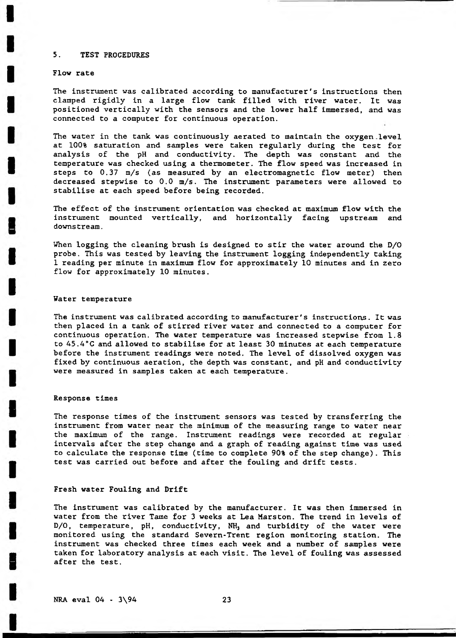## 5. TEST PROCEDURES

## Flow rate

The instrument was calibrated according to manufacturer's instructions then clamped rigidly in a large flow tank filled with river water. It was positioned vertically with the sensors and the lower half immersed, and was connected to a computer for continuous operation.

The water in the tank was continuously aerated to maintain the oxygen .level at 100% saturation and samples were taken regularly during the test for analysis of the pH and conductivity. The depth was constant and the temperature was checked using a thermometer. The flow speed was increased in steps to 0,37 m/s (as measured by an electromagnetic flow meter) then decreased stepwise to 0.0 m/s. The instrument parameters were allowed to stabilise at each speed before being recorded.

The effect of the instrument orientation was checked at maximum flow with the instrument mounted vertically, and horizontally facing upstream and downstream.

When logging the cleaning brush is designed to stir the water around the D/O probe. This was tested by leaving the instrument logging independently taking 1 reading per minute in maximum flow for approximately 10 minutes and in zero flow for approximately 10 minutes.

#### Water temperature

The instrument was calibrated according to manufacturer's instructions. It was then placed in a tank of stirred river water and connected to a computer for continuous operation. The water temperature was increased stepwise from 1.8 to 45.4°C and allowed to stabilise for at least 30 minutes at each temperature before the instrument readings were noted. The level of dissolved oxygen was fixed by continuous aeration, the depth was constant, and pH and conductivity were measured In samples taken at each temperature.

#### Response times

The response times of the instrument sensors was tested by transferring the instrument from water near the minimum of the measuring range to water near the maximum of the range. Instrument readings were recorded at regular intervals after the step change and a graph of reading against time was used to calculate the response time (time to complete 90% of the step change). This test was carried out before and after the fouling and drift tests.

# Fresh water Fouling and Drift

The instrument was calibrated by the manufacturer. It was then immersed in water from the river Tame for 3 weeks at Lea Marston. The trend in levels of D/O, temperature, pH, conductivity, NH<sub>3</sub> and turbidity of the water were monitored using the standard Severn-Trent region monitoring station. The instrument was checked three times each week and a number of samples were taken for laboratory analysis at each visit. The level of fouling was assessed after the test.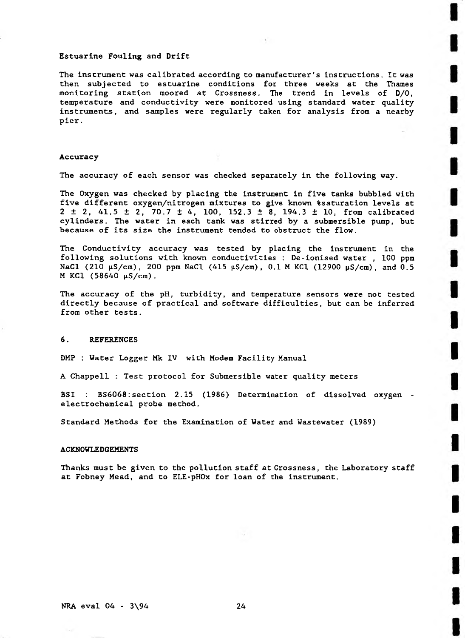# Estuarine Fouling and Drift

The instrument was calibrated according to manufacturer's instructions. It was then subjected to estuarine conditions for three weeks at the Thames monitoring station moored at Crossness. The trend in levels of D/0, temperature and conductivity were monitored using standard water quality instruments, and samples were regularly taken for analysis from a nearby pier.

## Accuracy

The accuracy of each sensor was checked separately in the following way.

The Oxygen was checked by placing the instrument in five tanks bubbled with five different oxygen/nitrogen mixtures to give known %saturation levels at 2  $\pm$  2, 41.5  $\pm$  2, 70.7  $\pm$  4, 100, 152.3  $\pm$  8, 194.3  $\pm$  10, from calibrated cylinders. The water in each tank was stirred by a submersible pump, but because of its size the instrument tended to obstruct the flow.

The Conductivity accuracy was tested by placing the instrument in the following solutions with known conductivities : De-ionised water , 100 ppm NaCl (210 µS/cm), 200 ppm NaCl (415 µS/cm), 0.1 M KCl (12900 µS/cm), and 0.5 M KCl  $(58640 \mu S/cm)$ .

The accuracy of the pH, turbidity, and temperature sensors were not tested directly because of practical and software difficulties, but can be inferred from other tests.

# 6. REFERENCES

DMP : Water Logger Mk IV with Modem Facility Manual

A Chappell : Test protocol for Submersible water quality meters

BSI : BS6068: section 2.15 (1986) Determination of dissolved oxygen electrochemical probe method.

Standard Methods for the Examination of Water and Wastewater (1989)

# ACKNOWLEDGEMENTS

Thanks must be given to the pollution staff at Crossness, the Laboratory staff at Fobney Mead, and to ELE-pHOx for loan of the instrument.